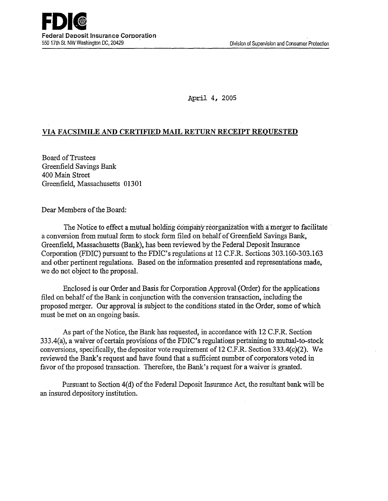April 4, 2005

### VIA FACSIMILE AND CERTIFIED MAIL RETURN RECEIPT REQUESTED

Board ofTrustees Greenfield Savings Bank 400 Main Street Greenfield, Massachusetts 01301

Dear Members of the Board:

The Notice to effect a mutual holding company reorganization with a merger to facilitate a conversion from mutual form to stock form filed on behalf of Greenfield Savings Bank, Greenfield, Massachusetts (Bank), has been reviewed by the Federal Deposit Insurance Corporation (FDIC) pursuant to the FDIC's regulations at 12 C.F.R. Sections  $303.160-303.163$ and other pertinent regulations. Based on the information presented and representations made, we do not object to the proposal.

Enclosed is our Order and Basis for Corporation Approval (Order) for the applications filed on behalf of the Bank in conjunction with the conversion transaction, including the proposed merger. Our approval is subject to the conditions stated in the Order, some of which must be met on an ongoing basis.

As part of the Notice, the Bank has requested, in accordance with 12 C.P.R. Section 333.4(a), a waiver of certain provisions of the FDIC's regulations pertaining to mutual-to-stock conversions, specifically, the depositor vote requirement of 12 C.F.R. Section 333.4(c)(2). We reviewed the Bank's request and have found that a sufficient number of corporators voted in favor of the proposed transaction. Therefore, the Bank's request for a waiver is granted.

Pursuant to Section 4(d) of the Federal Deposit Insurance Act, the resultant bank will be an insured depository institution.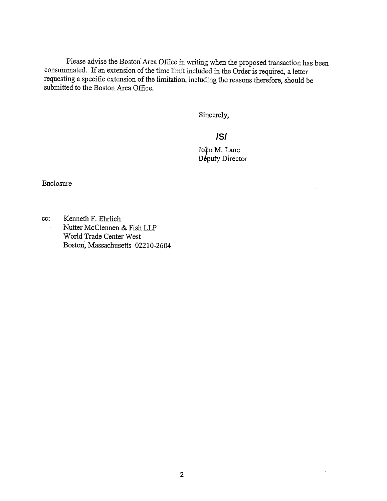Please advise the Boston Area Office in writing when the proposed transaction has been consummated. If an extension of the time limit included in the Order is required, a letter requesting a specific extension of the limitation, including the reasons therefore, should be submitted to the Boston Area Office.

Sincerely,

# **/S/**

Lane puty Director

Enclosure

cc: Kenneth F. Ehrlich Nutter McClennen & Fish LLP World Trade Center West Boston, Massachusetts 02210-2604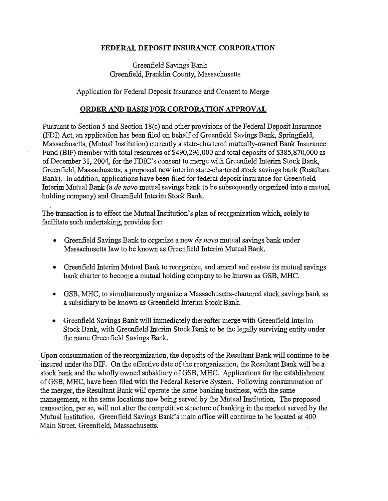#### FEDERAL DEPOSIT INSURANCE CORPORATION

## Greenfield Savings Bank Greenfield, Franklin County, Massachusetts

Application for Federal Deposit Insurance and Consent to Merge

#### ORDER AND BASIS FOR CORPORATION APPROVAL

Pursuant to Section 5 and Section 18(c) and other provisions of the Federal Deposit Insurance (FDI) Act, an application has been filed on behalf of Greenfield Savings Bank, Springfield, Massachusetts, (Mutual Institution) currently a state-chartered mutually-owned Bank Insurance Fund (BIF) member with total resources of \$490,296,000 and total deposits of \$385,870,000 as of December 31, 2004, for the FDIC's consent to merge with Greenfield Interim Stock Bank, Greenfield, Massachusetts, a proposed new interim state-chartered stock savings bank (Resultant Bank). In addition, applications have been filed for federal deposit insurance for Greenfield Interim Mutual Bank (a *de novo* mutual savings bank to be subsequently organized into a mutual holding company) and Greenfield Interim Stock Bank.

The transaction is to effect the Mutual Institution's plan of reorganization which, solely to facilitate such undertaking, provides for:

- Greenfield Savings Bank to organize a new *de novo* mutual savings bank under Massachusetts law to be known as Greenfield Interim Mutual Bank.
- Greenfield Interim Mutual Bank to reorganize, and amend and restate its mutual savings bank charter to become a mutual holding company to be known as GSB, MHC.
- GSB, MHC, to simultaneously organize a Massachusetts-chartered stock savings bank as a subsidiary to be known as Greenfield Interim Stock Bank.
- Greenfield Savings Bank will immediately thereafter merge with Greenfield Interim Stock Bank, with Greenfield Interim Stock Bank to be the legally surviving entity under the name Greenfield Savings Bank.

Upon consummation of the reorganization, the deposits of the Resultant Bank will continue to be ·insured under the BIF. On the effective date of the reorganization, the Resultant Bank will be a stock bank and the wholly owned subsidiary of GSB, MHC. Applications for the establishment of GSB, MHC, have been filed with the Federal Reserve System. Following consummation of the merger, the Resultant Bank will operate the same banking business, with the same management, at the same locations now being served by the Mutual Institution. The proposed transaction, per se, will not alter the competitive structure of banking in the market served by the Mutual Institution. Greenfield Savings Bank's main office will continue to be located at 400 Main Street, Greenfield, Massachusetts.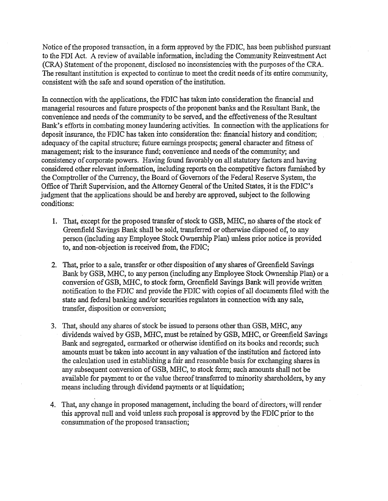Notice of the proposed transaction, in a form approved by the FDIC, has been published pursuant to the FDI Act. A review of available information, including the Community Reinvestment Act (CRA) Statement of the proponent, disclosed no inconsistencies with the purposes of the CRA. The resultant institution is expected to continue to meet the credit needs of its entire community, consistent with the safe and sound operation of the institution.

In connection with the applications, the FDIC has taken into consideration the financial and managerial resources and future prospects of the proponent banks and the Resultant Bank, the convenience and needs of the community to be served, and the effectiveness of the Resultant Bank's efforts in combating money laundering activities. In connection with the applications for deposit insurance, the FDIC has taken into consideration the: financial history and condition; adequacy of the capital structure; future earnings prospects; general character and fitness of management; risk to the insurance fund; convenience and needs of the community; and consistency of corporate powers. Having found favorably on all statutory factors and having considered other relevant information, including reports on the competitive factors furnished by the Comptroller of the Currency, the Board of Governors of the Federal Reserve System, the Office of Thrift Supervision, and the Attorney General of the United States, it is the FDIC's judgment that the applications should be and hereby are approved, subject to the following conditions:

- 1. That, except for the proposed transfer of stock to GSB, MHC, no shares of the stock of Greenfield Savings Bank shall be sold, transferred or otherwise disposed of, to any person (including any Employee Stock Ownership Plan) unless prior notice is provided to, and non-objection is received from, the FDIC;
- 2. That, prior to a sale, transfer or other disposition of any shares of Greenfield Savings Bank by GSB, MHC, to any person (including any Employee Stock Ownership Plan) or a conversion ofGSB, MHC, to stock form, Greenfield Savings Bank will provide written. notification to the FDIC and provide the FDIC with copies of all documents filed with the state and federal banking and/or securities regulators in connection with any sale, transfer, disposition or conversion;
- 3. That, should any shares of stock be issued to persons other than GSB, MHC, any dividends waived by GSB, MHC, must be retained by GSB, MHC, or Greenfield Savings Bank and segregated, earmarked or otherwise identified on its books and records; such amounts must be taken into account in any valuation of the institution and factored into the calculation used in establishing a fair and reasonable basis for exchanging shares in any subsequent conversion of GSB, MHC, to stock form; such amounts shall not be available for payment to or the value thereof transferred to minority shareholders, by any means including through dividend payments or at liquidation;
- 4. That, any change in proposed management, including the board of directors; will render this approval null and void unless such proposal is approved by the FDIC prior to the consummation of the proposed transaction;